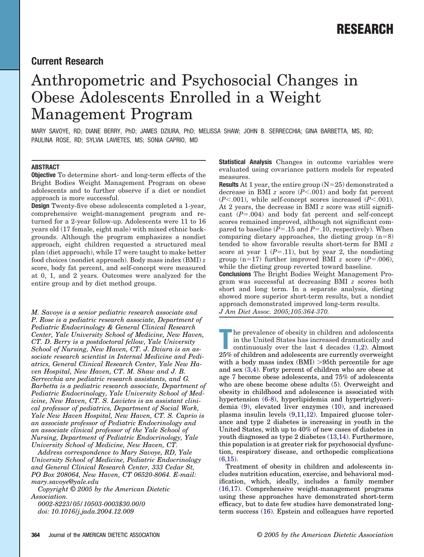## **Current Research**

# Anthropometric and Psychosocial Changes in Obese Adolescents Enrolled in a Weight Management Program

MARY SAVOYE, RD; DIANE BERRY, PhD; JAMES DZIURA, PhD; MELISSA SHAW; JOHN B. SERRECCHIA; GINA BARBETTA, MS, RD; PAULINA ROSE, RD; SYLVIA LAVIETES, MS; SONIA CAPRIO, MD

## **ABSTRACT**

**Objective** To determine short- and long-term effects of the Bright Bodies Weight Management Program on obese adolescents and to further observe if a diet or nondiet approach is more successful.

**Design** Twenty-five obese adolescents completed a 1-year, comprehensive weight-management program and returned for a 2-year follow-up. Adolescents were 11 to 16 years old (17 female, eight male) with mixed ethnic backgrounds. Although the program emphasizes a nondiet approach, eight children requested a structured meal plan (diet approach), while 17 were taught to make better food choices (nondiet approach). Body mass index (BMI) *z* score, body fat percent, and self-concept were measured at 0, 1, and 2 years. Outcomes were analyzed for the entire group and by diet method groups.

*M. Savoye is a senior pediatric research associate and P. Rose is a pediatric research associate, Department of Pediatric Endocrinology & General Clinical Research Center, Yale University School of Medicine, New Haven, CT. D. Berry is a postdoctoral fellow, Yale University School of Nursing, New Haven, CT. J. Dziura is an associate research scientist in Internal Medicine and Pediatrics, General Clinical Research Center, Yale New Haven Hospital, New Haven, CT. M. Shaw and J. B. Serrecchia are pediatric research assistants, and G. Barbetta is a pediatric research associate, Department of Pediatric Endocrinology, Yale University School of Medicine, New Haven, CT. S. Lavietes is an assistant clinical professor of pediatrics, Department of Social Work, Yale New Haven Hospital, New Haven, CT. S. Caprio is an associate professor of Pediatric Endocrinology and an associate clinical professor of the Yale School of Nursing, Department of Pediatric Endocrinology, Yale University School of Medicine, New Haven, CT.*

*Address correspondence to Mary Savoye, RD, Yale University School of Medicine, Pediatric Endocrinology and General Clinical Research Center, 333 Cedar St, PO Box 208064, New Haven, CT 06520-8064. E-mail: mary.savoye@yale.edu*

*Copyright © 2005 by the American Dietetic Association. 0002-8223/05/10503-0003\$30.00/0*

*doi: 10.1016/j.jada.2004.12.009*

**Statistical Analysis** Changes in outcome variables were evaluated using covariance pattern models for repeated measures.

**Results** At 1 year, the entire group  $(N=25)$  demonstrated a decrease in BMI *z* score (*P*-.001) and body fat percent  $(P<.001)$ , while self-concept scores increased  $(P<.001)$ . At 2 years, the decrease in BMI *z* score was still significant  $(P=.004)$  and body fat percent and self-concept scores remained improved, although not significant compared to baseline  $(P = .15$  and  $P = .10$ , respectively). When comparing dietary approaches, the dieting group  $(n=8)$ tended to show favorable results short-term for BMI *z* score at year  $1 (P = .11)$ , but by year 2, the nondieting group (n=17) further improved BMI  $z$  score ( $P = .006$ ), while the dieting group reverted toward baseline.

**Conclusions** The Bright Bodies Weight Management Program was successful at decreasing BMI *z* scores both short and long term. In a separate analysis, dieting showed more superior short-term results, but a nondiet approach demonstrated improved long-term results. *J Am Diet Assoc. 2005;105:364-370.*

**The prevalence of obesity in children and adolescents in the United States has increased dramatically and continuously over the last 4 decades (1,2). Almost 25% of children and adolescents are currently overweight** he prevalence of obesity in children and adolescents in the United States has increased dramatically and continuously over the last 4 decades [\(1,2\)](#page-5-0). Almost with a body mass index  $(BMI) > 95$ th percentile for age and sex [\(3,4\)](#page-5-0). Forty percent of children who are obese at age 7 become obese adolescents, and 75% of adolescents who are obese become obese adults [\(5\)](#page-5-0). Overweight and obesity in childhood and adolescence is associated with hypertension [\(6-8\)](#page-5-0), hyperlipidemia and hypertriglyceridemia [\(9\)](#page-6-0), elevated liver enzymes [\(10\)](#page-6-0), and increased plasma insulin levels [\(9,11,12\)](#page-6-0). Impaired glucose tolerance and type 2 diabetes is increasing in youth in the United States, with up to 40% of new cases of diabetes in youth diagnosed as type 2 diabetes [\(13,14\)](#page-6-0). Furthermore, this population is at greater risk for psychosocial dysfunction, respiratory disease, and orthopedic complications  $(6.15).$ 

Treatment of obesity in children and adolescents includes nutrition education, exercise, and behavioral modification, which, ideally, includes a family member [\(16,17\)](#page-6-0). Comprehensive weight-management programs using these approaches have demonstrated short-term efficacy, but to date few studies have demonstrated longterm success [\(16\)](#page-6-0). Epstein and colleagues have reported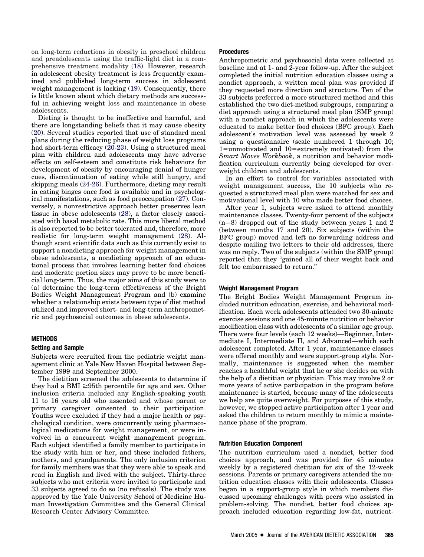on long-term reductions in obesity in preschool children and preadolescents using the traffic-light diet in a comprehensive treatment modality [\(18\)](#page-6-0). However, research in adolescent obesity treatment is less frequently examined and published long-term success in adolescent weight management is lacking [\(19\)](#page-6-0). Consequently, there is little known about which dietary methods are successful in achieving weight loss and maintenance in obese adolescents.

Dieting is thought to be ineffective and harmful, and there are longstanding beliefs that it may cause obesity [\(20\)](#page-6-0). Several studies reported that use of standard meal plans during the reducing phase of weight loss programs had short-term efficacy [\(20-23\)](#page-6-0). Using a structured meal plan with children and adolescents may have adverse effects on self-esteem and constitute risk behaviors for development of obesity by encouraging denial of hunger cues, discontinuation of eating while still hungry, and skipping meals [\(24-26\)](#page-6-0). Furthermore, dieting may result in eating binges once food is available and in psychological manifestations, such as food preoccupation [\(27\)](#page-6-0). Conversely, a nonrestrictive approach better preserves lean tissue in obese adolescents [\(28\)](#page-6-0), a factor closely associated with basal metabolic rate. This more liberal method is also reported to be better tolerated and, therefore, more realistic for long-term weight management [\(28\)](#page-6-0). Although scant scientific data such as this currently exist to support a nondieting approach for weight management in obese adolescents, a nondieting approach of an educational process that involves learning better food choices and moderate portion sizes may prove to be more beneficial long-term. Thus, the major aims of this study were to (a) determine the long-term effectiveness of the Bright Bodies Weight Management Program and (b) examine whether a relationship exists between type of diet method utilized and improved short- and long-term anthropometric and psychosocial outcomes in obese adolescents.

## **METHODS**

#### **Setting and Sample**

Subjects were recruited from the pediatric weight management clinic at Yale New Haven Hospital between September 1999 and September 2000.

The dietitian screened the adolescents to determine if they had a BMI  $\geq$ 95th percentile for age and sex. Other inclusion criteria included any English-speaking youth 11 to 16 years old who assented and whose parent or primary caregiver consented to their participation. Youths were excluded if they had a major health or psychological condition, were concurrently using pharmacological medications for weight management, or were involved in a concurrent weight management program. Each subject identified a family member to participate in the study with him or her, and these included fathers, mothers, and grandparents. The only inclusion criterion for family members was that they were able to speak and read in English and lived with the subject. Thirty-three subjects who met criteria were invited to participate and 33 subjects agreed to do so (no refusals). The study was approved by the Yale University School of Medicine Human Investigation Committee and the General Clinical Research Center Advisory Committee.

#### **Procedures**

Anthropometric and psychosocial data were collected at baseline and at 1- and 2-year follow-up. After the subject completed the initial nutrition education classes using a nondiet approach, a written meal plan was provided if they requested more direction and structure. Ten of the 33 subjects preferred a more structured method and this established the two diet-method subgroups, comparing a diet approach using a structured meal plan (SMP group) with a nondiet approach in which the adolescents were educated to make better food choices (BFC group). Each adolescent's motivation level was assessed by week 2 using a questionnaire (scale numbered 1 through 10;  $1 =$ unmotivated and  $10 =$ extremely motivated) from the *Smart Moves Workbook*, a nutrition and behavior modification curriculum currently being developed for overweight children and adolescents.

In an effort to control for variables associated with weight management success, the 10 subjects who requested a structured meal plan were matched for sex and motivational level with 10 who made better food choices.

After year 1, subjects were asked to attend monthly maintenance classes. Twenty-four percent of the subjects  $(n=8)$  dropped out of the study between years 1 and 2 (between months 17 and 20). Six subjects (within the BFC group) moved and left no forwarding address and despite mailing two letters to their old addresses, there was no reply. Two of the subjects (within the SMP group) reported that they "gained all of their weight back and felt too embarrassed to return."

#### **Weight Management Program**

The Bright Bodies Weight Management Program included nutrition education, exercise, and behavioral modification. Each week adolescents attended two 30-minute exercise sessions and one 45-minute nutrition or behavior modification class with adolescents of a similar age group. There were four levels (each 12 weeks)—Beginner, Intermediate I, Intermediate II, and Advanced—which each adolescent completed. After 1 year, maintenance classes were offered monthly and were support-group style. Normally, maintenance is suggested when the member reaches a healthful weight that he or she decides on with the help of a dietitian or physician. This may involve 2 or more years of active participation in the program before maintenance is started, because many of the adolescents we help are quite overweight. For purposes of this study, however, we stopped active participation after 1 year and asked the children to return monthly to mimic a maintenance phase of the program.

#### **Nutrition Education Component**

The nutrition curriculum used a nondiet, better food choices approach, and was provided for 45 minutes weekly by a registered dietitian for six of the 12-week sessions. Parents or primary caregivers attended the nutrition education classes with their adolescents. Classes began in a support-group style in which members discussed upcoming challenges with peers who assisted in problem-solving. The nondiet, better food choices approach included education regarding low-fat, nutrient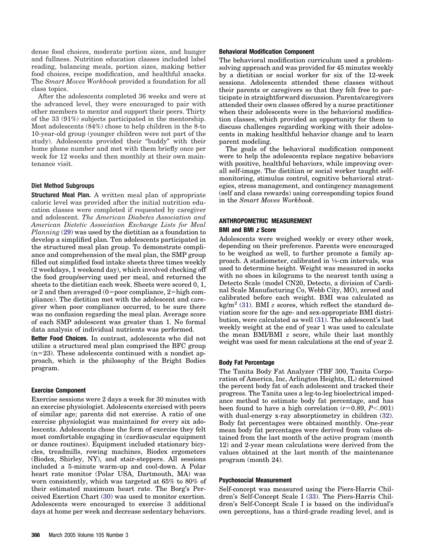dense food choices, moderate portion sizes, and hunger and fullness. Nutrition education classes included label reading, balancing meals, portion sizes, making better food choices, recipe modification, and healthful snacks. The *Smart Moves Workbook* provided a foundation for all class topics.

After the adolescents completed 36 weeks and were at the advanced level, they were encouraged to pair with other members to mentor and support their peers. Thirty of the 33 (91%) subjects participated in the mentorship. Most adolescents (84%) chose to help children in the 8-to 10-year-old group (younger children were not part of the study). Adolescents provided their "buddy" with their home phone number and met with them briefly once per week for 12 weeks and then monthly at their own maintenance visit.

## **Diet Method Subgroups**

**Structured Meal Plan.** A written meal plan of appropriate caloric level was provided after the initial nutrition education classes were completed if requested by caregiver and adolescent. *The American Diabetes Association and American Dietetic Association Exchange Lists for Meal Planning* [\(29\)](#page-6-0) was used by the dietitian as a foundation to develop a simplified plan. Ten adolescents participated in the structured meal plan group. To demonstrate compliance and comprehension of the meal plan, the SMP group filled out simplified food intake sheets three times weekly (2 weekdays, 1 weekend day), which involved checking off the food group/serving used per meal, and returned the sheets to the dietitian each week. Sheets were scored 0, 1, or 2 and then averaged  $(0=poor$  compliance, 2=high compliance). The dietitian met with the adolescent and caregiver when poor compliance occurred, to be sure there was no confusion regarding the meal plan. Average score of each SMP adolescent was greater than 1. No formal data analysis of individual nutrients was performed.

**Better Food Choices.** In contrast, adolescents who did not utilize a structured meal plan comprised the BFC group  $(n=23)$ . These adolescents continued with a nondiet approach, which is the philosophy of the Bright Bodies program.

#### **Exercise Component**

Exercise sessions were 2 days a week for 30 minutes with an exercise physiologist. Adolescents exercised with peers of similar age; parents did not exercise. A ratio of one exercise physiologist was maintained for every six adolescents. Adolescents chose the form of exercise they felt most comfortable engaging in (cardiovascular equipment or dance routines). Equipment included stationary bicycles, treadmills, rowing machines, Biodex ergometers (Biodex, Shirley, NY), and stair-steppers. All sessions included a 5-minute warm-up and cool-down. A Polar heart rate monitor (Polar USA, Dartmouth, MA) was worn consistently, which was targeted at 65% to 80% of their estimated maximum heart rate. The Borg's Perceived Exertion Chart [\(30\)](#page-6-0) was used to monitor exertion. Adolescents were encouraged to exercise 3 additional days at home per week and decrease sedentary behaviors.

#### **Behavioral Modification Component**

The behavioral modification curriculum used a problemsolving approach and was provided for 45 minutes weekly by a dietitian or social worker for six of the 12-week sessions. Adolescents attended these classes without their parents or caregivers so that they felt free to participate in straightforward discussion. Parents/caregivers attended their own classes offered by a nurse practitioner when their adolescents were in the behavioral modification classes, which provided an opportunity for them to discuss challenges regarding working with their adolescents in making healthful behavior change and to learn parent modeling.

The goals of the behavioral modification component were to help the adolescents replace negative behaviors with positive, healthful behaviors, while improving overall self-image. The dietitian or social worker taught selfmonitoring, stimulus control, cognitive behavioral strategies, stress management, and contingency management (self and class rewards) using corresponding topics found in the *Smart Moves Workbook*.

## **ANTHROPOMETRIC MEASUREMENT**

## **BMI and BMI** *z* **Score**

Adolescents were weighed weekly or every other week, depending on their preference. Parents were encouraged to be weighed as well, to further promote a family approach. A stadiometer, calibrated in 1⁄8-cm intervals, was used to determine height. Weight was measured in socks with no shoes in kilograms to the nearest tenth using a Detecto Scale (model CN20, Detecto, a division of Cardinal Scale Manufacturing Co, Webb City, MO), zeroed and calibrated before each weight. BMI was calculated as kg/m<sup>2</sup> [\(31\)](#page-6-0). BMI  $z$  scores, which reflect the standard deviation score for the age- and sex-appropriate BMI distribution, were calculated as well [\(31\)](#page-6-0). The adolescent's last weekly weight at the end of year 1 was used to calculate the mean BMI/BMI *z* score, while their last monthly weight was used for mean calculations at the end of year 2.

#### **Body Fat Percentage**

The Tanita Body Fat Analyzer (TBF 300, Tanita Corporation of America, Inc, Arlington Heights, IL) determined the percent body fat of each adolescent and tracked their progress. The Tanita uses a leg-to-leg bioelectrical impedance method to estimate body fat percentage, and has been found to have a high correlation  $(r=0.89, P<.001)$ with dual-energy x-ray absorptiometry in children  $(32)$ . Body fat percentages were obtained monthly. One-year mean body fat percentages were derived from values obtained from the last month of the active program (month 12) and 2-year mean calculations were derived from the values obtained at the last month of the maintenance program (month 24).

#### **Psychosocial Measurement**

Self-concept was measured using the Piers-Harris Children's Self-Concept Scale I [\(33\)](#page-6-0). The Piers-Harris Children's Self-Concept Scale I is based on the individual's own perceptions, has a third-grade reading level, and is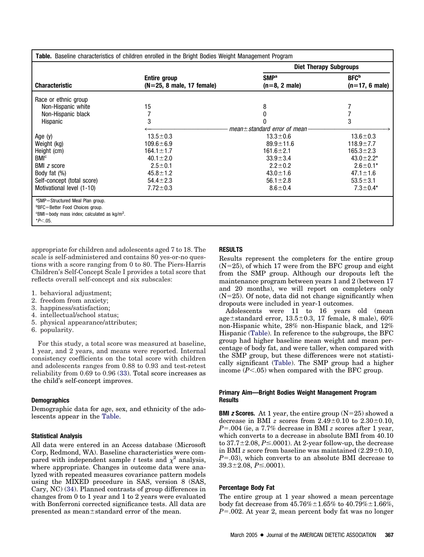| Table. Baseline characteristics of children enrolled in the Bright Bodies Weight Management Program                                                                   |                                                                                                                                               |                                                                                                                                                                                   |                                                                                                                                                  |
|-----------------------------------------------------------------------------------------------------------------------------------------------------------------------|-----------------------------------------------------------------------------------------------------------------------------------------------|-----------------------------------------------------------------------------------------------------------------------------------------------------------------------------------|--------------------------------------------------------------------------------------------------------------------------------------------------|
|                                                                                                                                                                       |                                                                                                                                               | <b>Diet Therapy Subgroups</b>                                                                                                                                                     |                                                                                                                                                  |
| <b>Characteristic</b>                                                                                                                                                 | Entire group<br>$(N=25, 8$ male, 17 female)                                                                                                   | SMP <sup>a</sup><br>$(n=8, 2 \text{ male})$                                                                                                                                       | <b>BFC</b> <sup>b</sup><br>$(n=17, 6 \text{ male})$                                                                                              |
| Race or ethnic group<br>Non-Hispanic white<br>Non-Hispanic black<br>Hispanic                                                                                          | 15<br>3                                                                                                                                       | 8                                                                                                                                                                                 | 3                                                                                                                                                |
| Age $(y)$<br>Weight (kg)<br>Height (cm)<br>BM <sup>c</sup><br><b>BMI</b> <i>z</i> score<br>Body fat $(\%)$<br>Self-concept (total score)<br>Motivational level (1-10) | $13.5 \pm 0.3$<br>$109.6 \pm 6.9$<br>$164.1 \pm 1.7$<br>$40.1 \pm 2.0$<br>$2.5 \pm 0.1$<br>$45.8 \pm 1.2$<br>$54.4 \pm 2.3$<br>$7.72 \pm 0.3$ | mean $\pm$ standard error of mean<br>$13.3 \pm 0.6$<br>$89.9 \pm 11.6$<br>$161.6 \pm 2.1$<br>$33.9 \pm 3.4$<br>$2.2 \pm 0.2$<br>$43.0 \pm 1.6$<br>$56.1 \pm 2.8$<br>$8.6 \pm 0.4$ | $13.6 \pm 0.3$<br>$118.9 \pm 7.7$<br>$165.3 \pm 2.3$<br>$43.0 \pm 2.2^*$<br>$2.6 \pm 0.1*$<br>$47.1 \pm 1.6$<br>$53.5 \pm 3.1$<br>$7.3 \pm 0.4*$ |
| <sup>a</sup> SMP=Structured Meal Plan group.<br><sup>b</sup> BFC=Better Food Choices group.<br>$\text{c}$ BMI=body mass index; calculated as kg/m <sup>2</sup> .      |                                                                                                                                               |                                                                                                                                                                                   |                                                                                                                                                  |

\**P*-.05.

appropriate for children and adolescents aged 7 to 18. The scale is self-administered and contains 80 yes-or-no questions with a score ranging from 0 to 80. The Piers-Harris Children's Self-Concept Scale I provides a total score that reflects overall self-concept and six subscales:

- 1. behavioral adjustment;
- 2. freedom from anxiety;
- 3. happiness/satisfaction;
- 4. intellectual/school status;
- 5. physical appearance/attributes;
- 6. popularity.

For this study, a total score was measured at baseline, 1 year, and 2 years, and means were reported. Internal consistency coefficients on the total score with children and adolescents ranges from 0.88 to 0.93 and test-retest reliability from 0.69 to 0.96 [\(33\)](#page-6-0). Total score increases as the child's self-concept improves.

## **Demographics**

Demographic data for age, sex, and ethnicity of the adolescents appear in the Table.

## **Statistical Analysis**

All data were entered in an Access database (Microsoft Corp, Redmond, WA). Baseline characteristics were compared with independent sample *t* tests and  $\chi^2$  analysis, where appropriate. Changes in outcome data were analyzed with repeated measures covariance pattern models using the MIXED procedure in SAS, version 8 (SAS, Cary, NC) [\(34\)](#page-6-0). Planned contrasts of group differences in changes from 0 to 1 year and 1 to 2 years were evaluated with Bonferroni corrected significance tests. All data are presented as mean $\pm$ standard error of the mean.

## **RESULTS**

Results represent the completers for the entire group  $(N=25)$ , of which 17 were from the BFC group and eight from the SMP group. Although our dropouts left the maintenance program between years 1 and 2 (between 17 and 20 months), we will report on completers only  $(N=25)$ . Of note, data did not change significantly when dropouts were included in year-1 outcomes.

Adolescents were 11 to 16 years old (mean age $\pm$ standard error, 13.5 $\pm$ 0.3, 17 female, 8 male), 60% non-Hispanic white, 28% non-Hispanic black, and 12% Hispanic (Table). In reference to the subgroups, the BFC group had higher baseline mean weight and mean percentage of body fat, and were taller, when compared with the SMP group, but these differences were not statistically significant (Table). The SMP group had a higher income  $(P<.05)$  when compared with the BFC group.

## **Primary Aim—Bright Bodies Weight Management Program Results**

**BMI** *z* **Scores.** At 1 year, the entire group  $(N=25)$  showed a decrease in BMI *z* scores from  $2.49\pm0.10$  to  $2.30\pm0.10$ , *P*.004 (ie, a 7.7% decrease in BMI *z* scores after 1 year, which converts to a decrease in absolute BMI from 40.10 to  $37.7 \pm 2.08$ ,  $P \le 0.001$ ). At 2-year follow-up, the decrease in BMI *z* score from baseline was maintained  $(2.29 \pm 0.10,$ *P*.03), which converts to an absolute BMI decrease to  $39.3 \pm 2.08$ ,  $P \le 0.0001$ ).

## **Percentage Body Fat**

The entire group at 1 year showed a mean percentage body fat decrease from  $45.76\% \pm 1.65\%$  to  $40.79\% \pm 1.66\%$ , *P*.002. At year 2, mean percent body fat was no longer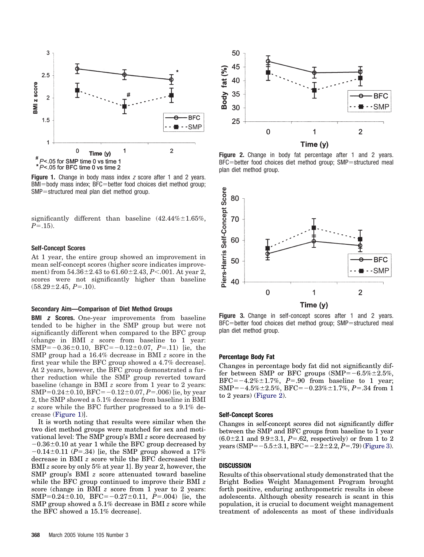

**Figure 1.** Change in body mass index *z* score after 1 and 2 years. BMI=body mass index; BFC=better food choices diet method group;  $SMP =$ structured meal plan diet method group.

significantly different than baseline  $(42.44\% \pm 1.65\%$ ,  $P = .15$ ).

#### **Self-Concept Scores**

At 1 year, the entire group showed an improvement in mean self-concept scores (higher score indicates improvement) from  $54.36\pm2.43$  to  $61.60\pm2.43, P< .001$ . At year 2, scores were not significantly higher than baseline  $(58.29 \pm 2.45, P = .10).$ 

#### **Secondary Aim—Comparison of Diet Method Groups**

**BMI** *z* **Scores.** One-year improvements from baseline tended to be higher in the SMP group but were not significantly different when compared to the BFC group (change in BMI *z* score from baseline to 1 year:  $SMP=-0.36\pm0.10$ ,  $BFC=-0.12\pm0.07$ ,  $P=.11$ ) [ie, the SMP group had a 16.4% decrease in BMI *z* score in the first year while the BFC group showed a 4.7% decrease]. At 2 years, however, the BFC group demonstrated a further reduction while the SMP group reverted toward baseline (change in BMI *z* score from 1 year to 2 years:  $SMP=0.24\pm0.10, BFC=-0.12\pm0.07, P=.006$ ) [ie, by year 2, the SMP showed a 5.1% decrease from baseline in BMI *z* score while the BFC further progressed to a 9.1% decrease (Figure 1)].

It is worth noting that results were similar when the two diet method groups were matched for sex and motivational level: The SMP group's BMI *z* score decreased by  $-0.36\pm0.10$  at year 1 while the BFC group decreased by  $-0.14\pm0.11$  (*P*=.34) [ie, the SMP group showed a 17% decrease in BMI *z* score while the BFC decreased their BMI *z* score by only 5% at year 1]. By year 2, however, the SMP group's BMI *z* score attenuated toward baseline while the BFC group continued to improve their BMI *z* score (change in BMI *z* score from 1 year to 2 years:  $SMP=0.24\pm0.10$ ,  $BFC=-0.27\pm0.11$ ,  $P=.004$ ) [ie, the SMP group showed a 5.1% decrease in BMI *z* score while the BFC showed a 15.1% decrease].



Figure 2. Change in body fat percentage after 1 and 2 years.  $BFC = better$  food choices diet method group;  $SMP = structured$  meal plan diet method group.



**Figure 3.** Change in self-concept scores after 1 and 2 years.  $BFC = better$  food choices diet method group;  $SMP = structured$  meal plan diet method group.

## **Percentage Body Fat**

Changes in percentage body fat did not significantly differ between SMP or BFC groups  $(SMP = -6.5\% \pm 2.5\%,$  $BFC=-4.2\% \pm 1.7\%, P=.90$  from baseline to 1 year;  $SMP=-4.5\% \pm 2.5\%$ ,  $BFC=-0.23\% \pm 1.7\%$ ,  $P=.34$  from 1 to 2 years) (Figure 2).

#### **Self-Concept Scores**

Changes in self-concept scores did not significantly differ between the SMP and BFC groups from baseline to 1 year  $(6.0 \pm 2.1$  and  $9.9 \pm 3.1$ ,  $P = .62$ , respectively) or from 1 to 2 years (SMP= $-5.5\pm3.1$ , BFC= $-2.2\pm2.2$ , *P*=.79) (Figure 3).

#### **DISCUSSION**

Results of this observational study demonstrated that the Bright Bodies Weight Management Program brought forth positive, enduring anthropometric results in obese adolescents. Although obesity research is scant in this population, it is crucial to document weight management treatment of adolescents as most of these individuals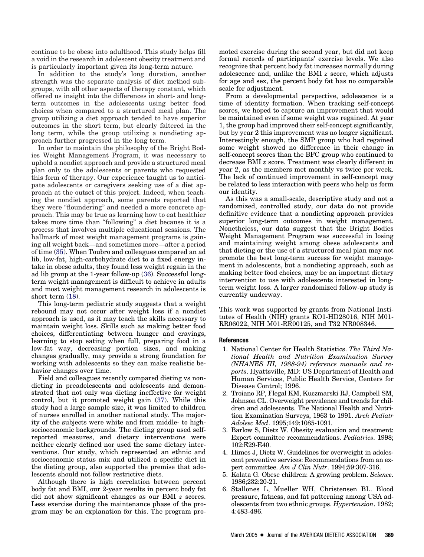<span id="page-5-0"></span>continue to be obese into adulthood. This study helps fill a void in the research in adolescent obesity treatment and is particularly important given its long-term nature.

In addition to the study's long duration, another strength was the separate analysis of diet method subgroups, with all other aspects of therapy constant, which offered us insight into the differences in short- and longterm outcomes in the adolescents using better food choices when compared to a structured meal plan. The group utilizing a diet approach tended to have superior outcomes in the short term, but clearly faltered in the long term, while the group utilizing a nondieting approach further progressed in the long term.

In order to maintain the philosophy of the Bright Bodies Weight Management Program, it was necessary to uphold a nondiet approach and provide a structured meal plan only to the adolescents or parents who requested this form of therapy. Our experience taught us to anticipate adolescents or caregivers seeking use of a diet approach at the outset of this project. Indeed, when teaching the nondiet approach, some parents reported that they were "floundering" and needed a more concrete approach. This may be true as learning how to eat healthier takes more time than "following" a diet because it is a process that involves multiple educational sessions. The hallmark of most weight management programs is gaining all weight back—and sometimes more—after a period of time [\(35\)](#page-6-0). When Toubro and colleagues compared an ad lib, low-fat, high-carbohydrate diet to a fixed energy intake in obese adults, they found less weight regain in the ad lib group at the 1-year follow-up [\(36\)](#page-6-0). Successful longterm weight management is difficult to achieve in adults and most weight management research in adolescents is short term [\(18\)](#page-6-0).

This long-term pediatric study suggests that a weight rebound may not occur after weight loss if a nondiet approach is used, as it may teach the skills necessary to maintain weight loss. Skills such as making better food choices, differentiating between hunger and cravings, learning to stop eating when full, preparing food in a low-fat way, decreasing portion sizes, and making changes gradually, may provide a strong foundation for working with adolescents so they can make realistic behavior changes over time.

Field and colleagues recently compared dieting vs nondieting in preadolescents and adolescents and demonstrated that not only was dieting ineffective for weight control, but it promoted weight gain [\(37\)](#page-6-0). While this study had a large sample size, it was limited to children of nurses enrolled in another national study. The majority of the subjects were white and from middle- to highsocioeconomic backgrounds. The dieting group used selfreported measures, and dietary interventions were neither clearly defined nor used the same dietary interventions. Our study, which represented an ethnic and socioeconomic status mix and utilized a specific diet in the dieting group, also supported the premise that adolescents should not follow restrictive diets.

Although there is high correlation between percent body fat and BMI, our 2-year results in percent body fat did not show significant changes as our BMI *z* scores. Less exercise during the maintenance phase of the program may be an explanation for this. The program promoted exercise during the second year, but did not keep formal records of participants' exercise levels. We also recognize that percent body fat increases normally during adolescence and, unlike the BMI *z* score, which adjusts for age and sex, the percent body fat has no comparable scale for adjustment.

From a developmental perspective, adolescence is a time of identity formation. When tracking self-concept scores, we hoped to capture an improvement that would be maintained even if some weight was regained. At year 1, the group had improved their self-concept significantly, but by year 2 this improvement was no longer significant. Interestingly enough, the SMP group who had regained some weight showed no difference in their change in self-concept scores than the BFC group who continued to decrease BMI *z* score. Treatment was clearly different in year 2, as the members met monthly vs twice per week. The lack of continued improvement in self-concept may be related to less interaction with peers who help us form our identity.

As this was a small-scale, descriptive study and not a randomized, controlled study, our data do not provide definitive evidence that a nondieting approach provides superior long-term outcomes in weight management. Nonetheless, our data suggest that the Bright Bodies Weight Management Program was successful in losing and maintaining weight among obese adolescents and that dieting or the use of a structured meal plan may not promote the best long-term success for weight management in adolescents, but a nondieting approach, such as making better food choices, may be an important dietary intervention to use with adolescents interested in longterm weight loss. A larger randomized follow-up study is currently underway.

This work was supported by grants from National Institutes of Health (NIH) grants RO1-HD28016, NIH M01- RR06022, NIH M01-RR00125, and T32 NR008346.

#### **References**

- 1. National Center for Health Statistics. *The Third National Health and Nutrition Examination Survey (NHANES III, 1988-94) reference manuals and reports*. Hyattsville, MD: US Department of Health and Human Services, Public Health Service, Centers for Disease Control; 1996.
- 2. Troiano RP, Flegal KM, Kuczmarski RJ, Campbell SM, Johnson CL. Overweight prevalence and trends for children and adolescents. The National Health and Nutrition Examination Surveys, 1963 to 1991. *Arch Pediatr Adolesc Med*. 1995;149:1085-1091.
- 3. Barlow S, Dietz W. Obesity evaluation and treatment: Expert committee recommendations. *Pediatrics*. 1998; 102:E29-E40.
- 4. Himes J, Dietz W. Guidelines for overweight in adolescent preventive services: Recommendations from an expert committee. *Am J Clin Nutr*. 1994;59:307-316.
- 5. Kolata G. Obese children: A growing problem. *Science*. 1986;232:20-21.
- 6. Stallones L, Mueller WH, Christensen BL. Blood pressure, fatness, and fat patterning among USA adolescents from two ethnic groups. *Hypertension*. 1982; 4:483-486.